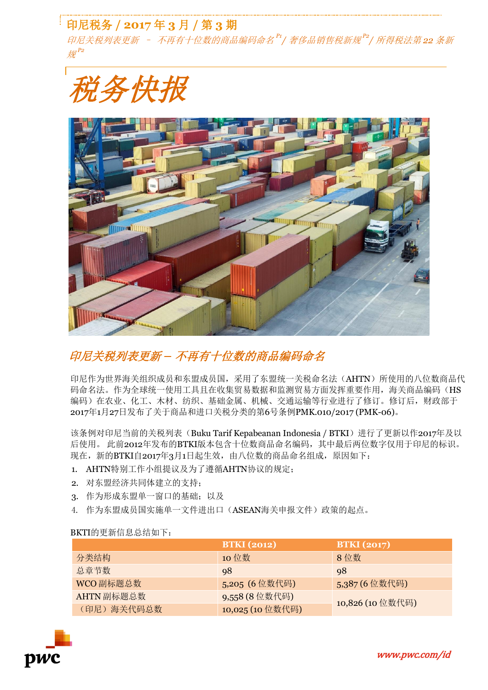# 印尼税务 **/ 2017** 年 **3** 月 **/** 第 **3** 期

印尼关税列表更新 – 不再有十位数的商品编码命名 *P1 /* 奢侈品销售税新规 *P2 /* 所得税法第 *22* 条新 规 *P2*

税务快报

## 印尼关税列表更新 *–* 不再有十位数的商品编码命名

印尼作为世界海关组织成员和东盟成员国,采用了东盟统一关税命名法(AHTN)所使用的八位数商品代 码命名法。作为全球统一使用工具且在收集贸易数据和监测贸易方面发挥重要作用,海关商品编码(HS 编码)在农业、化工、木材、纺织、基础金属、机械、交通运输等行业进行了修订。修订后,财政部于 2017年1月27日发布了关于商品和进口关税分类的第6号条例PMK.010/2017 (PMK-06)。

该条例对印尼当前的关税列表(Buku Tarif Kepabeanan Indonesia / BTKI)进行了更新以作2017年及以 后使用。 此前2012年发布的BTKI版本包含十位数商品命名编码,其中最后两位数字仅用于印尼的标识。 现在,新的BTKI自2017年3月1日起生效,由八位数的商品命名组成,原因如下:

- 1. AHTN特别工作小组提议及为了遵循AHTN协议的规定;
- 2. 对东盟经济共同体建立的支持;
- 3. 作为形成东盟单一窗口的基础;以及
- 4. 作为东盟成员国实施单一文件进出口(ASEAN海关申报文件)政策的起点。

### BKTI的更新信息总结如下:

|             | <b>BTKI</b> (2012) | <b>BTKI</b> (2017) |
|-------------|--------------------|--------------------|
| 分类结构        | 10 位数              | 8位数                |
| 总章节数        | 98                 | 98                 |
| WCO 副标题总数   | 5,205 (6位数代码)      | 5,387 (6 位数代码)     |
| AHTN 副标题总数  | 9,558 (8 位数代码)     | 10,826 (10位数代码)    |
| (印尼) 海关代码总数 | 10,025 (10位数代码)    |                    |



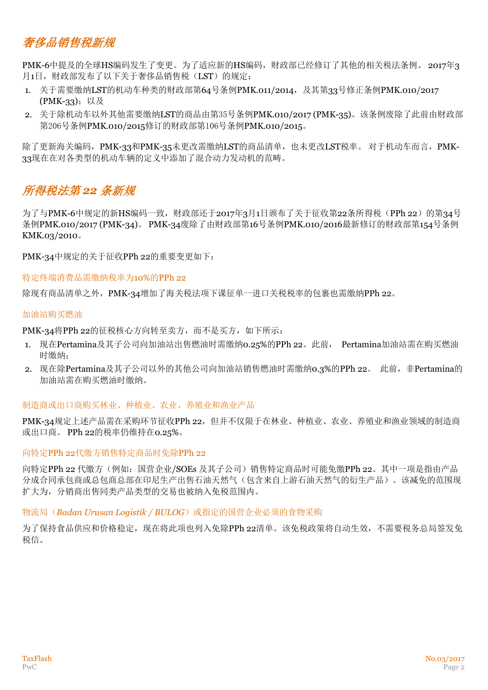# 奢侈品销售税新规

PMK-6中提及的全球HS编码发生了变更。为了适应新的HS编码,财政部已经修订了其他的相关税法条例。 2017年3 月1日,财政部发布了以下关于奢侈品销售税(LST)的规定:

- 1. 关于需要缴纳LST的机动车种类的财政部第64号条例PMK.011/2014, 及其第33号修正条例PMK.010/2017 (PMK-33);以及
- 2. 关于除机动车以外其他需要缴纳LST的商品由第35号条例PMK.010/2017 (PMK-35)。该条例废除了此前由财政部 第206号条例PMK.010/2015修订的财政部第106号条例PMK.010/2015。

除了更新海关编码,PMK-33和PMK-35未更改需缴纳LST的商品清单,也未更改LST税率。 对于机动车而言,PMK-33现在在对各类型的机动车辆的定义中添加了混合动力发动机的范畴。

## 所得税法第 *22* 条新规

为了与PMK-6中规定的新HS编码一致,财政部还于2017年3月1日颁布了关于征收第22条所得税(PPh 22)的第34号 条例PMK.010/2017 (PMK-34)。 PMK-34废除了由财政部第16号条例PMK.010/2016最新修订的财政部第154号条例 KMK.03/2010。

PMK-34中规定的关于征收PPh 22的重要变更如下:

特定终端消费品需缴纳税率为10%的PPh 22

除现有商品清单之外, PMK-34增加了海关税法项下课征单一进口关税税率的包裹也需缴纳PPh 22。

#### 加油站购买燃油

PMK-34将PPh 22的征税核心方向转至卖方, 而不是买方, 如下所示:

- 1. 现在Pertamina及其子公司向加油站出售燃油时需缴纳0.25%的PPh 22。此前, Pertamina加油站需在购买燃油 时缴纳;
- 2. 现在除Pertamina及其子公司以外的其他公司向加油站销售燃油时需缴纳0.3%的PPh 22。 此前, 非Pertamina的 加油站需在购买燃油时缴纳。

#### 制造商或出口商购买林业、种植业、农业、养殖业和渔业产品

PMK-34规定上述产品需在采购环节征收PPh 22,但并不仅限于在林业、种植业、农业、养殖业和渔业领域的制造商 或出口商。 PPh 22的税率仍维持在0.25%。

#### 向特定PPh 22代缴方销售特定商品时免除PPh 22

向特定PPh 22 代缴方(例如:国营企业/SOEs 及其子公司)销售特定商品时可能免缴PPh 22。其中一项是指由产品 分成合同承包商或总包商总部在印尼生产出售石油天然气(包含来自上游石油天然气的衍生产品)。该减免的范围现 扩大为,分销商出售同类产品类型的交易也被纳入免税范围内。

#### 物流局(Badan Urusan Logistik / BULOG)或指定的国营企业必须的食物采购

为了保持食品供应和价格稳定,现在将此项也列入免除PPh 22清单。该免税政策将自动生效,不需要税务总局签发免 税信。